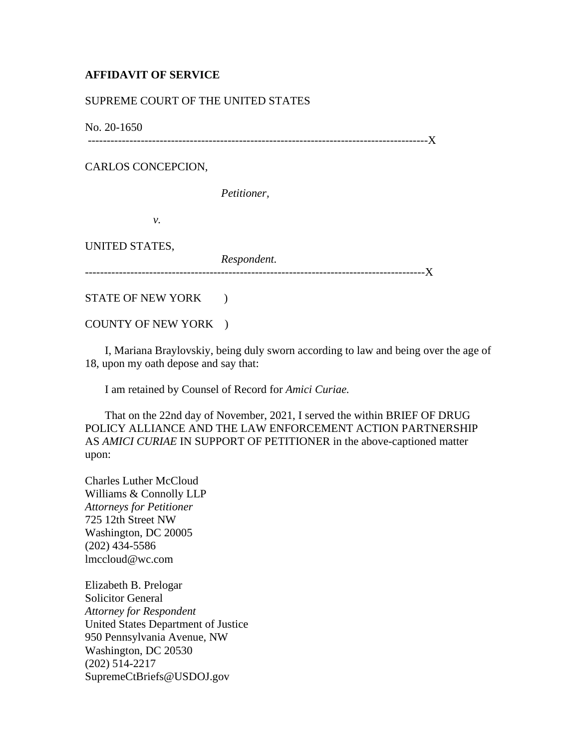## **AFFIDAVIT OF SERVICE**

## SUPREME COURT OF THE UNITED STATES

No. 20-1650

------------------------------------------------------------------------------------------X

CARLOS CONCEPCION,

*Petitioner,*

*v.*

UNITED STATES,

*Respondent.* ------------------------------------------------------------------------------------------X

STATE OF NEW YORK )

COUNTY OF NEW YORK )

 I, Mariana Braylovskiy, being duly sworn according to law and being over the age of 18, upon my oath depose and say that:

I am retained by Counsel of Record for *Amici Curiae.*

 That on the 22nd day of November, 2021, I served the within BRIEF OF DRUG POLICY ALLIANCE AND THE LAW ENFORCEMENT ACTION PARTNERSHIP AS *AMICI CURIAE* IN SUPPORT OF PETITIONER in the above-captioned matter upon:

Charles Luther McCloud Williams & Connolly LLP *Attorneys for Petitioner* 725 12th Street NW Washington, DC 20005 (202) 434-5586 lmccloud@wc.com

Elizabeth B. Prelogar Solicitor General *Attorney for Respondent* United States Department of Justice 950 Pennsylvania Avenue, NW Washington, DC 20530 (202) 514-2217 SupremeCtBriefs@USDOJ.gov